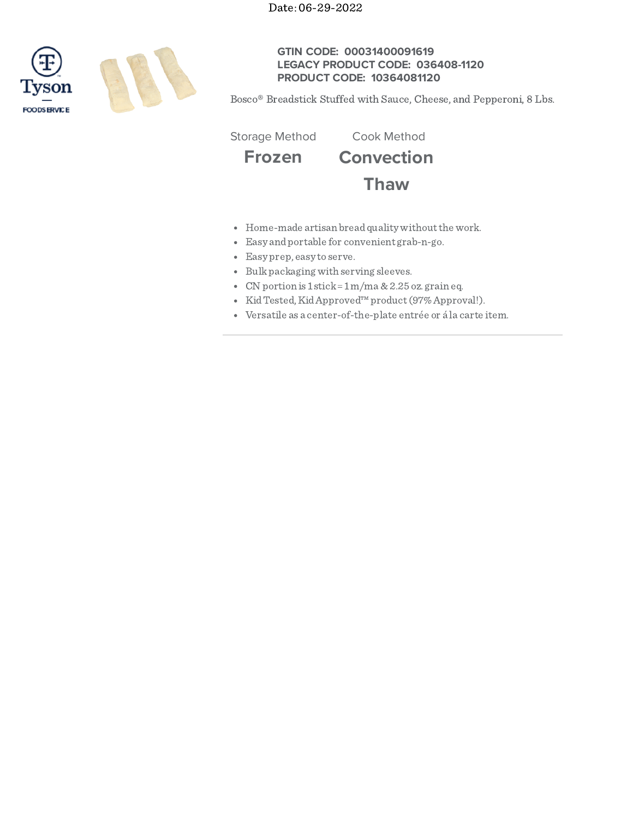Date: 06-29-2022



# **GTIN CODE: 00031400091619 LEGACY PRODUCT CODE: 036408-1120 PRODUCT CODE: 10364081120**

Bosco® Breadstick Stuffed with Sauce, Cheese, and Pepperoni, 8 Lbs.

Storage Method Cook Method

**Frozen Convection**

**Thaw**

- Home-made artisan bread quality without the work.
- Easy andportable for convenient grab-n-go.
- Easy prep, easy to serve.
- Bulk packaging with serving sleeves.
- CN portion is  $1$  stick =  $1$  m/ma  $\&$  2.25 oz. grain eq.
- KidTested,KidApproved™product(97%Approval!).
- Versatile as a center-of-the-plate entrée or á la carte item.